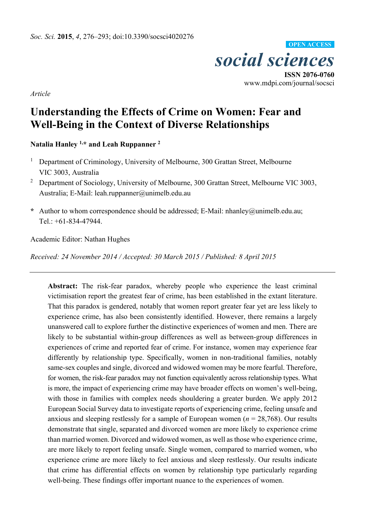

www.mdpi.com/journal/socsci

*Article* 

# **Understanding the Effects of Crime on Women: Fear and Well-Being in the Context of Diverse Relationships**

**Natalia Hanley 1,\* and Leah Ruppanner 2**

- 1 Department of Criminology, University of Melbourne, 300 Grattan Street, Melbourne VIC 3003, Australia
- <sup>2</sup> Department of Sociology, University of Melbourne, 300 Grattan Street, Melbourne VIC 3003, Australia; E-Mail: leah.ruppanner@unimelb.edu.au
- **\*** Author to whom correspondence should be addressed; E-Mail: nhanley@unimelb.edu.au; Tel.: +61-834-47944.

Academic Editor: Nathan Hughes

*Received: 24 November 2014 / Accepted: 30 March 2015 / Published: 8 April 2015* 

**Abstract:** The risk-fear paradox, whereby people who experience the least criminal victimisation report the greatest fear of crime, has been established in the extant literature. That this paradox is gendered, notably that women report greater fear yet are less likely to experience crime, has also been consistently identified. However, there remains a largely unanswered call to explore further the distinctive experiences of women and men. There are likely to be substantial within-group differences as well as between-group differences in experiences of crime and reported fear of crime. For instance, women may experience fear differently by relationship type. Specifically, women in non-traditional families, notably same-sex couples and single, divorced and widowed women may be more fearful. Therefore, for women, the risk-fear paradox may not function equivalently across relationship types. What is more, the impact of experiencing crime may have broader effects on women's well-being, with those in families with complex needs shouldering a greater burden. We apply 2012 European Social Survey data to investigate reports of experiencing crime, feeling unsafe and anxious and sleeping restlessly for a sample of European women (*n* = 28,768). Our results demonstrate that single, separated and divorced women are more likely to experience crime than married women. Divorced and widowed women, as well as those who experience crime, are more likely to report feeling unsafe. Single women, compared to married women, who experience crime are more likely to feel anxious and sleep restlessly. Our results indicate that crime has differential effects on women by relationship type particularly regarding well-being. These findings offer important nuance to the experiences of women.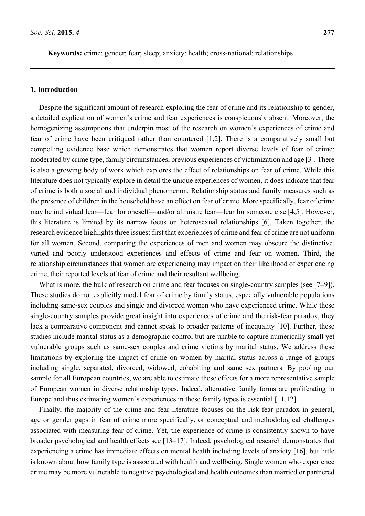## **1. Introduction**

Despite the significant amount of research exploring the fear of crime and its relationship to gender, a detailed explication of women's crime and fear experiences is conspicuously absent. Moreover, the homogenizing assumptions that underpin most of the research on women's experiences of crime and fear of crime have been critiqued rather than countered [1,2]. There is a comparatively small but compelling evidence base which demonstrates that women report diverse levels of fear of crime; moderated by crime type, family circumstances, previous experiences of victimization and age [3]. There is also a growing body of work which explores the effect of relationships on fear of crime. While this literature does not typically explore in detail the unique experiences of women, it does indicate that fear of crime is both a social and individual phenomenon. Relationship status and family measures such as the presence of children in the household have an effect on fear of crime. More specifically, fear of crime may be individual fear—fear for oneself—and/or altruistic fear—fear for someone else [4,5]. However, this literature is limited by its narrow focus on heterosexual relationships [6]. Taken together, the research evidence highlights three issues: first that experiences of crime and fear of crime are not uniform for all women. Second, comparing the experiences of men and women may obscure the distinctive, varied and poorly understood experiences and effects of crime and fear on women. Third, the relationship circumstances that women are experiencing may impact on their likelihood of experiencing crime, their reported levels of fear of crime and their resultant wellbeing.

What is more, the bulk of research on crime and fear focuses on single-country samples (see [7–9]). These studies do not explicitly model fear of crime by family status, especially vulnerable populations including same-sex couples and single and divorced women who have experienced crime. While these single-country samples provide great insight into experiences of crime and the risk-fear paradox, they lack a comparative component and cannot speak to broader patterns of inequality [10]. Further, these studies include marital status as a demographic control but are unable to capture numerically small yet vulnerable groups such as same-sex couples and crime victims by marital status. We address these limitations by exploring the impact of crime on women by marital status across a range of groups including single, separated, divorced, widowed, cohabiting and same sex partners. By pooling our sample for all European countries, we are able to estimate these effects for a more representative sample of European women in diverse relationship types. Indeed, alternative family forms are proliferating in Europe and thus estimating women's experiences in these family types is essential [11,12].

Finally, the majority of the crime and fear literature focuses on the risk-fear paradox in general, age or gender gaps in fear of crime more specifically, or conceptual and methodological challenges associated with measuring fear of crime. Yet, the experience of crime is consistently shown to have broader psychological and health effects see [13–17]. Indeed, psychological research demonstrates that experiencing a crime has immediate effects on mental health including levels of anxiety [16], but little is known about how family type is associated with health and wellbeing. Single women who experience crime may be more vulnerable to negative psychological and health outcomes than married or partnered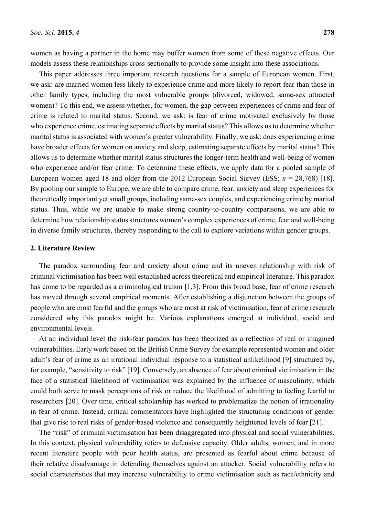women as having a partner in the home may buffer women from some of these negative effects. Our models assess these relationships cross-sectionally to provide some insight into these associations.

This paper addresses three important research questions for a sample of European women. First, we ask: are married women less likely to experience crime and more likely to report fear than those in other family types, including the most vulnerable groups (divorced, widowed, same-sex attracted women)? To this end, we assess whether, for women, the gap between experiences of crime and fear of crime is related to marital status. Second, we ask: is fear of crime motivated exclusively by those who experience crime, estimating separate effects by marital status? This allows us to determine whether marital status is associated with women's greater vulnerability. Finally, we ask: does experiencing crime have broader effects for women on anxiety and sleep, estimating separate effects by marital status? This allows us to determine whether marital status structures the longer-term health and well-being of women who experience and/or fear crime. To determine these effects, we apply data for a pooled sample of European women aged 18 and older from the 2012 European Social Survey (ESS; *n* = 28,768) [18]. By pooling our sample to Europe, we are able to compare crime, fear, anxiety and sleep experiences for theoretically important yet small groups, including same-sex couples, and experiencing crime by marital status. Thus, while we are unable to make strong country-to-country comparisons, we are able to determine how relationship status structures women's complex experiences of crime, fear and well-being in diverse family structures, thereby responding to the call to explore variations within gender groups.

## **2. Literature Review**

The paradox surrounding fear and anxiety about crime and its uneven relationship with risk of criminal victimisation has been well established across theoretical and empirical literature. This paradox has come to be regarded as a criminological truism [1,3]. From this broad base, fear of crime research has moved through several empirical moments. After establishing a disjunction between the groups of people who are most fearful and the groups who are most at risk of victimisation, fear of crime research considered why this paradox might be. Various explanations emerged at individual, social and environmental levels.

At an individual level the risk-fear paradox has been theorized as a reflection of real or imagined vulnerabilities. Early work based on the British Crime Survey for example represented women and older adult's fear of crime as an irrational individual response to a statistical unlikelihood [9] structured by, for example, "sensitivity to risk" [19]. Conversely, an absence of fear about criminal victimisation in the face of a statistical likelihood of victimisation was explained by the influence of masculinity, which could both serve to mask perceptions of risk or reduce the likelihood of admitting to feeling fearful to researchers [20]. Over time, critical scholarship has worked to problematize the notion of irrationality in fear of crime. Instead, critical commentators have highlighted the structuring conditions of gender that give rise to real risks of gender-based violence and consequently heightened levels of fear [21].

The "risk" of criminal victimisation has been disaggregated into physical and social vulnerabilities. In this context, physical vulnerability refers to defensive capacity. Older adults, women, and in more recent literature people with poor health status, are presented as fearful about crime because of their relative disadvantage in defending themselves against an attacker. Social vulnerability refers to social characteristics that may increase vulnerability to crime victimisation such as race/ethnicity and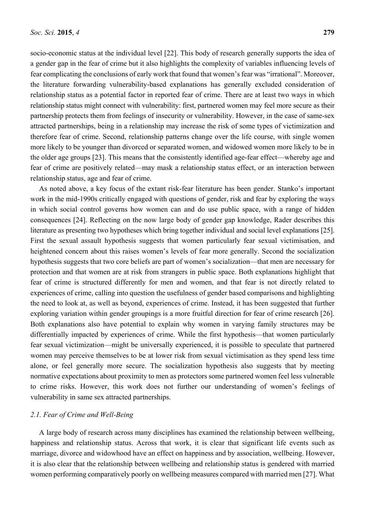socio-economic status at the individual level [22]. This body of research generally supports the idea of a gender gap in the fear of crime but it also highlights the complexity of variables influencing levels of fear complicating the conclusions of early work that found that women's fear was "irrational". Moreover, the literature forwarding vulnerability-based explanations has generally excluded consideration of relationship status as a potential factor in reported fear of crime. There are at least two ways in which relationship status might connect with vulnerability: first, partnered women may feel more secure as their partnership protects them from feelings of insecurity or vulnerability. However, in the case of same-sex attracted partnerships, being in a relationship may increase the risk of some types of victimization and therefore fear of crime. Second, relationship patterns change over the life course, with single women more likely to be younger than divorced or separated women, and widowed women more likely to be in the older age groups [23]. This means that the consistently identified age-fear effect—whereby age and fear of crime are positively related—may mask a relationship status effect, or an interaction between relationship status, age and fear of crime.

As noted above, a key focus of the extant risk-fear literature has been gender. Stanko's important work in the mid-1990s critically engaged with questions of gender, risk and fear by exploring the ways in which social control governs how women can and do use public space, with a range of hidden consequences [24]. Reflecting on the now large body of gender gap knowledge, Rader describes this literature as presenting two hypotheses which bring together individual and social level explanations [25]. First the sexual assault hypothesis suggests that women particularly fear sexual victimisation, and heightened concern about this raises women's levels of fear more generally. Second the socialization hypothesis suggests that two core beliefs are part of women's socialization—that men are necessary for protection and that women are at risk from strangers in public space. Both explanations highlight that fear of crime is structured differently for men and women, and that fear is not directly related to experiences of crime, calling into question the usefulness of gender based comparisons and highlighting the need to look at, as well as beyond, experiences of crime. Instead, it has been suggested that further exploring variation within gender groupings is a more fruitful direction for fear of crime research [26]. Both explanations also have potential to explain why women in varying family structures may be differentially impacted by experiences of crime. While the first hypothesis—that women particularly fear sexual victimization—might be universally experienced, it is possible to speculate that partnered women may perceive themselves to be at lower risk from sexual victimisation as they spend less time alone, or feel generally more secure. The socialization hypothesis also suggests that by meeting normative expectations about proximity to men as protectors some partnered women feel less vulnerable to crime risks. However, this work does not further our understanding of women's feelings of vulnerability in same sex attracted partnerships.

## *2.1. Fear of Crime and Well-Being*

A large body of research across many disciplines has examined the relationship between wellbeing, happiness and relationship status. Across that work, it is clear that significant life events such as marriage, divorce and widowhood have an effect on happiness and by association, wellbeing. However, it is also clear that the relationship between wellbeing and relationship status is gendered with married women performing comparatively poorly on wellbeing measures compared with married men [27]. What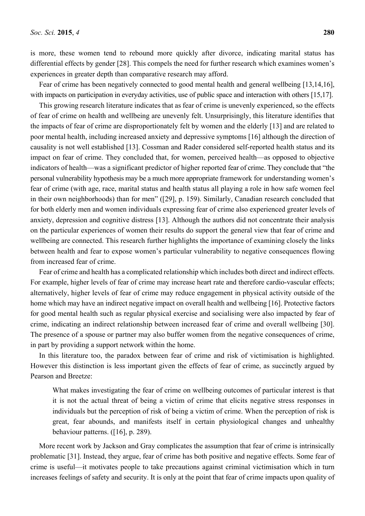is more, these women tend to rebound more quickly after divorce, indicating marital status has differential effects by gender [28]. This compels the need for further research which examines women's experiences in greater depth than comparative research may afford.

Fear of crime has been negatively connected to good mental health and general wellbeing [13,14,16], with impacts on participation in everyday activities, use of public space and interaction with others [15,17].

This growing research literature indicates that as fear of crime is unevenly experienced, so the effects of fear of crime on health and wellbeing are unevenly felt. Unsurprisingly, this literature identifies that the impacts of fear of crime are disproportionately felt by women and the elderly [13] and are related to poor mental health, including increased anxiety and depressive symptoms [16] although the direction of causality is not well established [13]. Cossman and Rader considered self-reported health status and its impact on fear of crime. They concluded that, for women, perceived health—as opposed to objective indicators of health—was a significant predictor of higher reported fear of crime. They conclude that "the personal vulnerability hypothesis may be a much more appropriate framework for understanding women's fear of crime (with age, race, marital status and health status all playing a role in how safe women feel in their own neighborhoods) than for men" ([29], p. 159). Similarly, Canadian research concluded that for both elderly men and women individuals expressing fear of crime also experienced greater levels of anxiety, depression and cognitive distress [13]. Although the authors did not concentrate their analysis on the particular experiences of women their results do support the general view that fear of crime and wellbeing are connected. This research further highlights the importance of examining closely the links between health and fear to expose women's particular vulnerability to negative consequences flowing from increased fear of crime.

Fear of crime and health has a complicated relationship which includes both direct and indirect effects. For example, higher levels of fear of crime may increase heart rate and therefore cardio-vascular effects; alternatively, higher levels of fear of crime may reduce engagement in physical activity outside of the home which may have an indirect negative impact on overall health and wellbeing [16]. Protective factors for good mental health such as regular physical exercise and socialising were also impacted by fear of crime, indicating an indirect relationship between increased fear of crime and overall wellbeing [30]. The presence of a spouse or partner may also buffer women from the negative consequences of crime, in part by providing a support network within the home.

In this literature too, the paradox between fear of crime and risk of victimisation is highlighted. However this distinction is less important given the effects of fear of crime, as succinctly argued by Pearson and Breetze:

What makes investigating the fear of crime on wellbeing outcomes of particular interest is that it is not the actual threat of being a victim of crime that elicits negative stress responses in individuals but the perception of risk of being a victim of crime. When the perception of risk is great, fear abounds, and manifests itself in certain physiological changes and unhealthy behaviour patterns. ([16], p. 289).

More recent work by Jackson and Gray complicates the assumption that fear of crime is intrinsically problematic [31]. Instead, they argue, fear of crime has both positive and negative effects. Some fear of crime is useful—it motivates people to take precautions against criminal victimisation which in turn increases feelings of safety and security. It is only at the point that fear of crime impacts upon quality of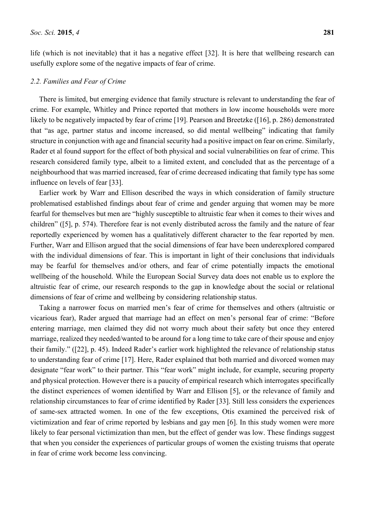life (which is not inevitable) that it has a negative effect [32]. It is here that wellbeing research can usefully explore some of the negative impacts of fear of crime.

#### *2.2. Families and Fear of Crime*

There is limited, but emerging evidence that family structure is relevant to understanding the fear of crime. For example, Whitley and Prince reported that mothers in low income households were more likely to be negatively impacted by fear of crime [19]. Pearson and Breetzke ([16], p. 286) demonstrated that "as age, partner status and income increased, so did mental wellbeing" indicating that family structure in conjunction with age and financial security had a positive impact on fear on crime. Similarly, Rader et al found support for the effect of both physical and social vulnerabilities on fear of crime. This research considered family type, albeit to a limited extent, and concluded that as the percentage of a neighbourhood that was married increased, fear of crime decreased indicating that family type has some influence on levels of fear [33].

Earlier work by Warr and Ellison described the ways in which consideration of family structure problematised established findings about fear of crime and gender arguing that women may be more fearful for themselves but men are "highly susceptible to altruistic fear when it comes to their wives and children" ([5], p. 574). Therefore fear is not evenly distributed across the family and the nature of fear reportedly experienced by women has a qualitatively different character to the fear reported by men. Further, Warr and Ellison argued that the social dimensions of fear have been underexplored compared with the individual dimensions of fear. This is important in light of their conclusions that individuals may be fearful for themselves and/or others, and fear of crime potentially impacts the emotional wellbeing of the household. While the European Social Survey data does not enable us to explore the altruistic fear of crime, our research responds to the gap in knowledge about the social or relational dimensions of fear of crime and wellbeing by considering relationship status.

Taking a narrower focus on married men's fear of crime for themselves and others (altruistic or vicarious fear), Rader argued that marriage had an effect on men's personal fear of crime: "Before entering marriage, men claimed they did not worry much about their safety but once they entered marriage, realized they needed/wanted to be around for a long time to take care of their spouse and enjoy their family." ([22], p. 45). Indeed Rader's earlier work highlighted the relevance of relationship status to understanding fear of crime [17]. Here, Rader explained that both married and divorced women may designate "fear work" to their partner. This "fear work" might include, for example, securing property and physical protection. However there is a paucity of empirical research which interrogates specifically the distinct experiences of women identified by Warr and Ellison [5], or the relevance of family and relationship circumstances to fear of crime identified by Rader [33]. Still less considers the experiences of same-sex attracted women. In one of the few exceptions, Otis examined the perceived risk of victimization and fear of crime reported by lesbians and gay men [6]. In this study women were more likely to fear personal victimization than men, but the effect of gender was low. These findings suggest that when you consider the experiences of particular groups of women the existing truisms that operate in fear of crime work become less convincing.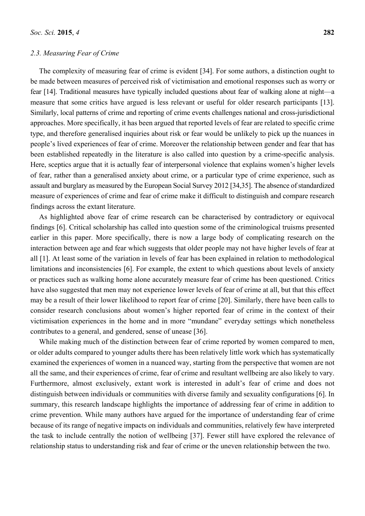## *2.3. Measuring Fear of Crime*

The complexity of measuring fear of crime is evident [34]. For some authors, a distinction ought to be made between measures of perceived risk of victimisation and emotional responses such as worry or fear [14]. Traditional measures have typically included questions about fear of walking alone at night—a measure that some critics have argued is less relevant or useful for older research participants [13]. Similarly, local patterns of crime and reporting of crime events challenges national and cross-jurisdictional approaches. More specifically, it has been argued that reported levels of fear are related to specific crime type, and therefore generalised inquiries about risk or fear would be unlikely to pick up the nuances in people's lived experiences of fear of crime. Moreover the relationship between gender and fear that has been established repeatedly in the literature is also called into question by a crime-specific analysis. Here, sceptics argue that it is actually fear of interpersonal violence that explains women's higher levels of fear, rather than a generalised anxiety about crime, or a particular type of crime experience, such as assault and burglary as measured by the European Social Survey 2012 [34,35]. The absence of standardized measure of experiences of crime and fear of crime make it difficult to distinguish and compare research findings across the extant literature.

As highlighted above fear of crime research can be characterised by contradictory or equivocal findings [6]. Critical scholarship has called into question some of the criminological truisms presented earlier in this paper. More specifically, there is now a large body of complicating research on the interaction between age and fear which suggests that older people may not have higher levels of fear at all [1]. At least some of the variation in levels of fear has been explained in relation to methodological limitations and inconsistencies [6]. For example, the extent to which questions about levels of anxiety or practices such as walking home alone accurately measure fear of crime has been questioned. Critics have also suggested that men may not experience lower levels of fear of crime at all, but that this effect may be a result of their lower likelihood to report fear of crime [20]. Similarly, there have been calls to consider research conclusions about women's higher reported fear of crime in the context of their victimisation experiences in the home and in more "mundane" everyday settings which nonetheless contributes to a general, and gendered, sense of unease [36].

While making much of the distinction between fear of crime reported by women compared to men, or older adults compared to younger adults there has been relatively little work which has systematically examined the experiences of women in a nuanced way, starting from the perspective that women are not all the same, and their experiences of crime, fear of crime and resultant wellbeing are also likely to vary. Furthermore, almost exclusively, extant work is interested in adult's fear of crime and does not distinguish between individuals or communities with diverse family and sexuality configurations [6]. In summary, this research landscape highlights the importance of addressing fear of crime in addition to crime prevention. While many authors have argued for the importance of understanding fear of crime because of its range of negative impacts on individuals and communities, relatively few have interpreted the task to include centrally the notion of wellbeing [37]. Fewer still have explored the relevance of relationship status to understanding risk and fear of crime or the uneven relationship between the two.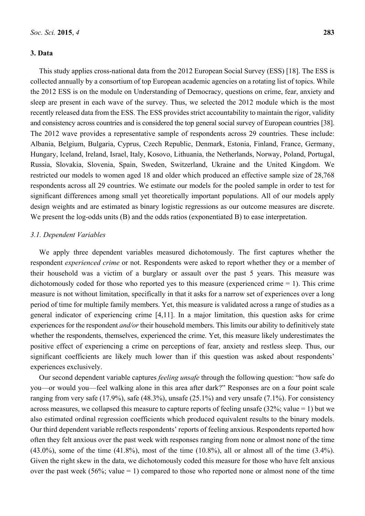## **3. Data**

This study applies cross-national data from the 2012 European Social Survey (ESS) [18]. The ESS is collected annually by a consortium of top European academic agencies on a rotating list of topics. While the 2012 ESS is on the module on Understanding of Democracy, questions on crime, fear, anxiety and sleep are present in each wave of the survey. Thus, we selected the 2012 module which is the most recently released data from the ESS. The ESS provides strict accountability to maintain the rigor, validity and consistency across countries and is considered the top general social survey of European countries [38]. The 2012 wave provides a representative sample of respondents across 29 countries. These include: Albania, Belgium, Bulgaria, Cyprus, Czech Republic, Denmark, Estonia, Finland, France, Germany, Hungary, Iceland, Ireland, Israel, Italy, Kosovo, Lithuania, the Netherlands, Norway, Poland, Portugal, Russia, Slovakia, Slovenia, Spain, Sweden, Switzerland, Ukraine and the United Kingdom. We restricted our models to women aged 18 and older which produced an effective sample size of 28,768 respondents across all 29 countries. We estimate our models for the pooled sample in order to test for significant differences among small yet theoretically important populations. All of our models apply design weights and are estimated as binary logistic regressions as our outcome measures are discrete. We present the log-odds units (B) and the odds ratios (exponentiated B) to ease interpretation.

## *3.1. Dependent Variables*

We apply three dependent variables measured dichotomously. The first captures whether the respondent *experienced crime* or not. Respondents were asked to report whether they or a member of their household was a victim of a burglary or assault over the past 5 years. This measure was dichotomously coded for those who reported yes to this measure (experienced crime = 1). This crime measure is not without limitation, specifically in that it asks for a narrow set of experiences over a long period of time for multiple family members. Yet, this measure is validated across a range of studies as a general indicator of experiencing crime [4,11]. In a major limitation, this question asks for crime experiences for the respondent *and/or* their household members. This limits our ability to definitively state whether the respondents, themselves, experienced the crime. Yet, this measure likely underestimates the positive effect of experiencing a crime on perceptions of fear, anxiety and restless sleep. Thus, our significant coefficients are likely much lower than if this question was asked about respondents' experiences exclusively.

Our second dependent variable captures *feeling unsafe* through the following question: "how safe do you—or would you—feel walking alone in this area after dark?" Responses are on a four point scale ranging from very safe (17.9%), safe (48.3%), unsafe (25.1%) and very unsafe (7.1%). For consistency across measures, we collapsed this measure to capture reports of feeling unsafe  $(32\%;$  value  $= 1)$  but we also estimated ordinal regression coefficients which produced equivalent results to the binary models. Our third dependent variable reflects respondents' reports of feeling anxious. Respondents reported how often they felt anxious over the past week with responses ranging from none or almost none of the time  $(43.0\%)$ , some of the time  $(41.8\%)$ , most of the time  $(10.8\%)$ , all or almost all of the time  $(3.4\%)$ . Given the right skew in the data, we dichotomously coded this measure for those who have felt anxious over the past week (56%; value = 1) compared to those who reported none or almost none of the time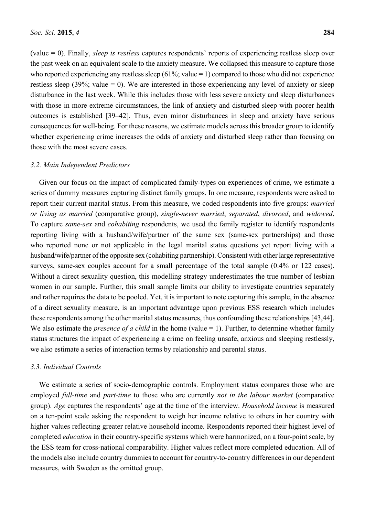(value = 0). Finally, *sleep is restless* captures respondents' reports of experiencing restless sleep over the past week on an equivalent scale to the anxiety measure. We collapsed this measure to capture those who reported experiencing any restless sleep (61%; value = 1) compared to those who did not experience restless sleep (39%; value = 0). We are interested in those experiencing any level of anxiety or sleep disturbance in the last week. While this includes those with less severe anxiety and sleep disturbances with those in more extreme circumstances, the link of anxiety and disturbed sleep with poorer health outcomes is established [39–42]. Thus, even minor disturbances in sleep and anxiety have serious consequences for well-being. For these reasons, we estimate models across this broader group to identify whether experiencing crime increases the odds of anxiety and disturbed sleep rather than focusing on those with the most severe cases.

#### *3.2. Main Independent Predictors*

Given our focus on the impact of complicated family-types on experiences of crime, we estimate a series of dummy measures capturing distinct family groups. In one measure, respondents were asked to report their current marital status. From this measure, we coded respondents into five groups: *married or living as married* (comparative group), *single-never married*, *separated*, *divorced*, and *widowed*. To capture *same-sex* and *cohabiting* respondents, we used the family register to identify respondents reporting living with a husband/wife/partner of the same sex (same-sex partnerships) and those who reported none or not applicable in the legal marital status questions yet report living with a husband/wife/partner of the opposite sex (cohabiting partnership). Consistent with other large representative surveys, same-sex couples account for a small percentage of the total sample (0.4% or 122 cases). Without a direct sexuality question, this modelling strategy underestimates the true number of lesbian women in our sample. Further, this small sample limits our ability to investigate countries separately and rather requires the data to be pooled. Yet, it is important to note capturing this sample, in the absence of a direct sexuality measure, is an important advantage upon previous ESS research which includes these respondents among the other marital status measures, thus confounding these relationships [43,44]. We also estimate the *presence of a child* in the home (value = 1). Further, to determine whether family status structures the impact of experiencing a crime on feeling unsafe, anxious and sleeping restlessly, we also estimate a series of interaction terms by relationship and parental status.

# *3.3. Individual Controls*

We estimate a series of socio-demographic controls. Employment status compares those who are employed *full-time* and *part-time* to those who are currently *not in the labour market* (comparative group). *Age* captures the respondents' age at the time of the interview. *Household income* is measured on a ten-point scale asking the respondent to weigh her income relative to others in her country with higher values reflecting greater relative household income. Respondents reported their highest level of completed *education* in their country-specific systems which were harmonized, on a four-point scale, by the ESS team for cross-national comparability. Higher values reflect more completed education. All of the models also include country dummies to account for country-to-country differences in our dependent measures, with Sweden as the omitted group.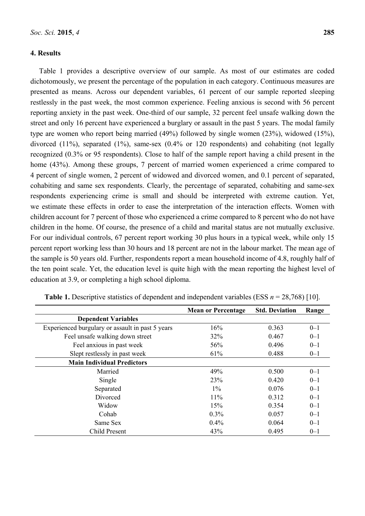## **4. Results**

Table 1 provides a descriptive overview of our sample. As most of our estimates are coded dichotomously, we present the percentage of the population in each category. Continuous measures are presented as means. Across our dependent variables, 61 percent of our sample reported sleeping restlessly in the past week, the most common experience. Feeling anxious is second with 56 percent reporting anxiety in the past week. One-third of our sample, 32 percent feel unsafe walking down the street and only 16 percent have experienced a burglary or assault in the past 5 years. The modal family type are women who report being married (49%) followed by single women (23%), widowed (15%), divorced (11%), separated (1%), same-sex (0.4% or 120 respondents) and cohabiting (not legally recognized (0.3% or 95 respondents). Close to half of the sample report having a child present in the home (43%). Among these groups, 7 percent of married women experienced a crime compared to 4 percent of single women, 2 percent of widowed and divorced women, and 0.1 percent of separated, cohabiting and same sex respondents. Clearly, the percentage of separated, cohabiting and same-sex respondents experiencing crime is small and should be interpreted with extreme caution. Yet, we estimate these effects in order to ease the interpretation of the interaction effects. Women with children account for 7 percent of those who experienced a crime compared to 8 percent who do not have children in the home. Of course, the presence of a child and marital status are not mutually exclusive. For our individual controls, 67 percent report working 30 plus hours in a typical week, while only 15 percent report working less than 30 hours and 18 percent are not in the labour market. The mean age of the sample is 50 years old. Further, respondents report a mean household income of 4.8, roughly half of the ten point scale. Yet, the education level is quite high with the mean reporting the highest level of education at 3.9, or completing a high school diploma.

|                                                  | <b>Mean or Percentage</b> | <b>Std. Deviation</b> | Range   |
|--------------------------------------------------|---------------------------|-----------------------|---------|
| <b>Dependent Variables</b>                       |                           |                       |         |
| Experienced burgulary or assault in past 5 years | 16%                       | 0.363                 | $0 - 1$ |
| Feel unsafe walking down street                  | 32%                       | 0.467                 | $0 - 1$ |
| Feel anxious in past week                        | 56%                       | 0.496                 | $0 - 1$ |
| Slept restlessly in past week                    | 61%                       | 0.488                 | $0 - 1$ |
| <b>Main Individual Predictors</b>                |                           |                       |         |
| Married                                          | 49%                       | 0.500                 | $0 - 1$ |
| Single                                           | 23%                       | 0.420                 | $0 - 1$ |
| Separated                                        | $1\%$                     | 0.076                 | $0 - 1$ |
| Divorced                                         | 11%                       | 0.312                 | $0 - 1$ |
| Widow                                            | 15%                       | 0.354                 | $0 - 1$ |
| Cohab                                            | $0.3\%$                   | 0.057                 | $0 - 1$ |
| Same Sex                                         | 0.4%                      | 0.064                 | $0 - 1$ |
| Child Present                                    | 43%                       | 0.495                 | $0 - 1$ |

**Table 1.** Descriptive statistics of dependent and independent variables (ESS  $n = 28,768$ ) [10].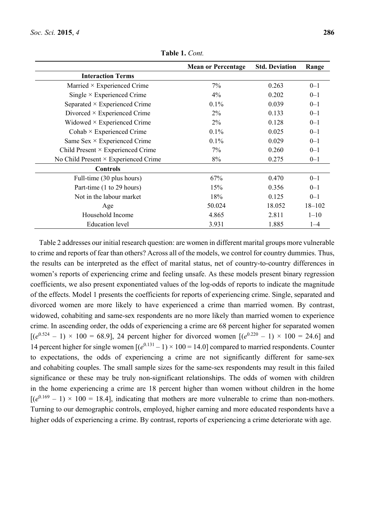|                                             | <b>Mean or Percentage</b> | <b>Std. Deviation</b> | Range      |
|---------------------------------------------|---------------------------|-----------------------|------------|
| <b>Interaction Terms</b>                    |                           |                       |            |
| Married $\times$ Experienced Crime          | 7%                        | 0.263                 | $0 - 1$    |
| Single $\times$ Experienced Crime           | $4\%$                     | 0.202                 | $0 - 1$    |
| Separated $\times$ Experienced Crime        | $0.1\%$                   | 0.039                 | $0 - 1$    |
| Divorced $\times$ Experienced Crime         | $2\%$                     | 0.133                 | $0 - 1$    |
| Widowed $\times$ Experienced Crime          | $2\%$                     | 0.128                 | $0 - 1$    |
| Cohab $\times$ Experienced Crime            | 0.1%                      | 0.025                 | $0 - 1$    |
| Same $Sex \times Experience$                | 0.1%                      | 0.029                 | $0 - 1$    |
| Child Present $\times$ Experienced Crime    | 7%                        | 0.260                 | $0 - 1$    |
| No Child Present $\times$ Experienced Crime | 8%                        | 0.275                 | $0 - 1$    |
| Controls                                    |                           |                       |            |
| Full-time (30 plus hours)                   | 67%                       | 0.470                 | $0 - 1$    |
| Part-time (1 to 29 hours)                   | 15%                       | 0.356                 | $0 - 1$    |
| Not in the labour market                    | 18%                       | 0.125                 | $0 - 1$    |
| Age                                         | 50.024                    | 18.052                | $18 - 102$ |
| Household Income                            | 4.865                     | 2.811                 | $1 - 10$   |
| <b>Education</b> level                      | 3.931                     | 1.885                 | $1 - 4$    |

**Table 1.** *Cont.* 

Table 2 addresses our initial research question: are women in different marital groups more vulnerable to crime and reports of fear than others? Across all of the models, we control for country dummies. Thus, the results can be interpreted as the effect of marital status, net of country-to-country differences in women's reports of experiencing crime and feeling unsafe. As these models present binary regression coefficients, we also present exponentiated values of the log-odds of reports to indicate the magnitude of the effects. Model 1 presents the coefficients for reports of experiencing crime. Single, separated and divorced women are more likely to have experienced a crime than married women. By contrast, widowed, cohabiting and same-sex respondents are no more likely than married women to experience crime. In ascending order, the odds of experiencing a crime are 68 percent higher for separated women  $[(e^{0.524} - 1) \times 100 = 68.9]$ , 24 percent higher for divorced women  $[(e^{0.220} - 1) \times 100 = 24.6]$  and 14 percent higher for single women  $[(e^{0.131} - 1) \times 100 = 14.0]$  compared to married respondents. Counter to expectations, the odds of experiencing a crime are not significantly different for same-sex and cohabiting couples. The small sample sizes for the same-sex respondents may result in this failed significance or these may be truly non-significant relationships. The odds of women with children in the home experiencing a crime are 18 percent higher than women without children in the home  $[(e^{0.169} - 1) \times 100 = 18.4]$ , indicating that mothers are more vulnerable to crime than non-mothers. Turning to our demographic controls, employed, higher earning and more educated respondents have a higher odds of experiencing a crime. By contrast, reports of experiencing a crime deteriorate with age.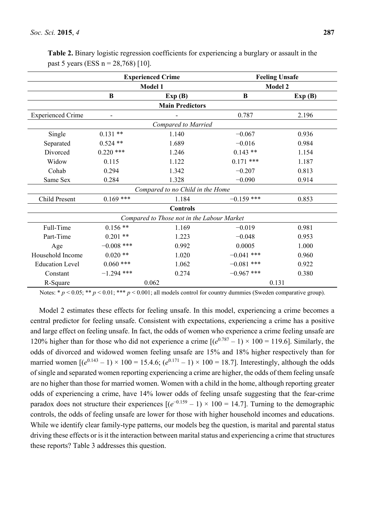|                          | <b>Experienced Crime</b><br><b>Model 1</b> |                                            | <b>Feeling Unsafe</b> |        |
|--------------------------|--------------------------------------------|--------------------------------------------|-----------------------|--------|
|                          |                                            |                                            | <b>Model 2</b>        |        |
|                          | B                                          | Exp(B)                                     | B                     | Exp(B) |
|                          |                                            | <b>Main Predictors</b>                     |                       |        |
| <b>Experienced Crime</b> |                                            |                                            | 0.787                 | 2.196  |
|                          |                                            | Compared to Married                        |                       |        |
| Single                   | $0.131**$                                  | 1.140                                      | $-0.067$              | 0.936  |
| Separated                | $0.524**$                                  | 1.689                                      | $-0.016$              | 0.984  |
| Divorced                 | $0.220$ ***                                | 1.246                                      | $0.143**$             | 1.154  |
| Widow                    | 0.115                                      | 1.122                                      | $0.171$ ***           | 1.187  |
| Cohab                    | 0.294                                      | 1.342                                      | $-0.207$              | 0.813  |
| Same Sex                 | 0.284                                      | 1.328                                      | $-0.090$              | 0.914  |
|                          |                                            | Compared to no Child in the Home           |                       |        |
| <b>Child Present</b>     | $0.169$ ***                                | 1.184                                      | $-0.159$ ***          | 0.853  |
|                          |                                            | <b>Controls</b>                            |                       |        |
|                          |                                            | Compared to Those not in the Labour Market |                       |        |
| Full-Time                | $0.156**$                                  | 1.169                                      | $-0.019$              | 0.981  |
| Part-Time                | $0.201**$                                  | 1.223                                      | $-0.048$              | 0.953  |
| Age                      | $-0.008$ ***                               | 0.992                                      | 0.0005                | 1.000  |
| Household Income         | $0.020**$                                  | 1.020                                      | $-0.041$ ***          | 0.960  |
| <b>Education Level</b>   | $0.060$ ***                                | 1.062                                      | $-0.081$ ***          | 0.922  |
| Constant                 | $-1.294$ ***                               | 0.274                                      | $-0.967$ ***          | 0.380  |
| R-Square                 |                                            | 0.062                                      | 0.131                 |        |

**Table 2.** Binary logistic regression coefficients for experiencing a burglary or assault in the past 5 years (ESS  $n = 28,768$ ) [10].

Notes: \*  $p < 0.05$ ; \*\*  $p < 0.01$ ; \*\*\*  $p < 0.001$ ; all models control for country dummies (Sweden comparative group).

Model 2 estimates these effects for feeling unsafe. In this model, experiencing a crime becomes a central predictor for feeling unsafe. Consistent with expectations, experiencing a crime has a positive and large effect on feeling unsafe. In fact, the odds of women who experience a crime feeling unsafe are 120% higher than for those who did not experience a crime  $[(e^{0.787} - 1) \times 100 = 119.6]$ . Similarly, the odds of divorced and widowed women feeling unsafe are 15% and 18% higher respectively than for married women  $[(e^{0.143} - 1) \times 100 = 15.4.6; (e^{0.171} - 1) \times 100 = 18.7]$ . Interestingly, although the odds of single and separated women reporting experiencing a crime are higher, the odds of them feeling unsafe are no higher than those for married women. Women with a child in the home, although reporting greater odds of experiencing a crime, have 14% lower odds of feeling unsafe suggesting that the fear-crime paradox does not structure their experiences  $[(e^{-0.159} - 1) \times 100 = 14.7]$ . Turning to the demographic controls, the odds of feeling unsafe are lower for those with higher household incomes and educations. While we identify clear family-type patterns, our models beg the question, is marital and parental status driving these effects or is it the interaction between marital status and experiencing a crime that structures these reports? Table 3 addresses this question.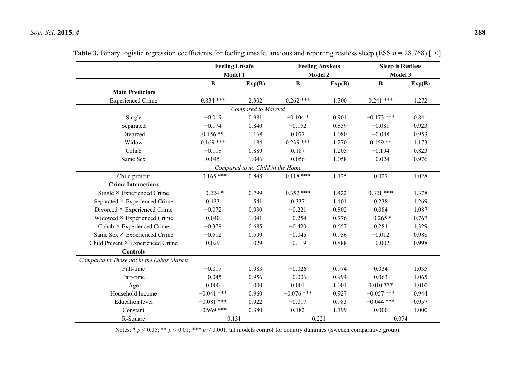|                                           | <b>Feeling Unsafe</b><br>Model 1 |                                  | <b>Feeling Anxious</b><br><b>Model 2</b> |        | <b>Sleep is Restless</b><br>Model 3 |        |
|-------------------------------------------|----------------------------------|----------------------------------|------------------------------------------|--------|-------------------------------------|--------|
|                                           |                                  |                                  |                                          |        |                                     |        |
|                                           | $\bf{B}$                         | Exp(B)                           | $\bf{B}$                                 | Exp(B) | $\bf{B}$                            | Exp(B) |
| <b>Main Predictors</b>                    |                                  |                                  |                                          |        |                                     |        |
| <b>Experienced Crime</b>                  | $0.834$ ***                      | 2.302                            | $0.262$ ***                              | 1.300  | $0.241$ ***                         | 1.272  |
| <b>Compared to Married</b>                |                                  |                                  |                                          |        |                                     |        |
| Single                                    | $-0.019$                         | 0.981                            | $-0.104*$                                | 0.901  | $-0.173$ ***                        | 0.841  |
| Separated                                 | $-0.174$                         | 0.840                            | $-0.152$                                 | 0.859  | $-0.081$                            | 0.923  |
| Divorced                                  | $0.156**$                        | 1.168                            | 0.077                                    | 1.080  | $-0.048$                            | 0.953  |
| Widow                                     | $0.169$ ***                      | 1.184                            | $0.239$ ***                              | 1.270  | $0.159**$                           | 1.173  |
| Cohab                                     | $-0.118$                         | 0.889                            | 0.187                                    | 1.205  | $-0.194$                            | 0.823  |
| Same Sex                                  | 0.045                            | 1.046                            | 0.056                                    | 1.058  | $-0.024$                            | 0.976  |
|                                           |                                  | Compared to no Child in the Home |                                          |        |                                     |        |
| Child present                             | $-0.165$ ***                     | 0.848                            | $0.118$ ***                              | 1.125  | 0.027                               | 1.028  |
| <b>Crime Interactions</b>                 |                                  |                                  |                                          |        |                                     |        |
| Single $\times$ Experienced Crime         | $-0.224*$                        | 0.799                            | $0.352$ ***                              | 1.422  | $0.321$ ***                         | 1.378  |
| Separated × Experienced Crime             | 0.433                            | 1.541                            | 0.337                                    | 1.401  | 0.238                               | 1.269  |
| Divorced $\times$ Experienced Crime       | $-0.072$                         | 0.930                            | $-0.221$                                 | 0.802  | 0.084                               | 1.087  |
| Widowed $\times$ Experienced Crime        | 0.040                            | 1.041                            | $-0.254$                                 | 0.776  | $-0.265*$                           | 0.767  |
| Cohab $\times$ Experienced Crime          | $-0.378$                         | 0.685                            | $-0.420$                                 | 0.657  | 0.284                               | 1.329  |
| Same Sex × Experienced Crime              | $-0.512$                         | 0.599                            | $-0.045$                                 | 0.956  | $-0.012$                            | 0.988  |
| Child Present × Experienced Crime         | 0.029                            | 1.029                            | $-0.119$                                 | 0.888  | $-0.002$                            | 0.998  |
| <b>Controls</b>                           |                                  |                                  |                                          |        |                                     |        |
| Compared to Those not in the Labor Market |                                  |                                  |                                          |        |                                     |        |
| Full-time                                 | $-0.017$                         | 0.983                            | $-0.026$                                 | 0.974  | 0.034                               | 1.035  |
| Part-time                                 | $-0.045$                         | 0.956                            | $-0.006$                                 | 0.994  | 0.063                               | 1.065  |
| Age                                       | 0.000                            | 1.000                            | 0.001                                    | 1.001  | $0.010$ ***                         | 1.010  |
| Household Income                          | $-0.041$ ***                     | 0.960                            | $-0.076$ ***                             | 0.927  | $-0.057$ ***                        | 0.944  |
| <b>Education</b> level                    | $-0.081$ ***                     | 0.922                            | $-0.017$                                 | 0.983  | $-0.044$ ***                        | 0.957  |
| Constant                                  | $-0.969$ ***                     | 0.380                            | 0.182                                    | 1.199  | 0.000                               | 1.000  |
| R-Square                                  | 0.131                            |                                  | 0.221                                    |        | 0.074                               |        |

**Table 3.** Binary logistic regression coefficients for feeling unsafe, anxious and reporting restless sleep (ESS *<sup>n</sup>* = 28,768) [10].

Notes: \*  $p < 0.05$ ; \*\*  $p < 0.01$ ; \*\*\*  $p < 0.001$ ; all models control for country dummies (Sweden comparative group).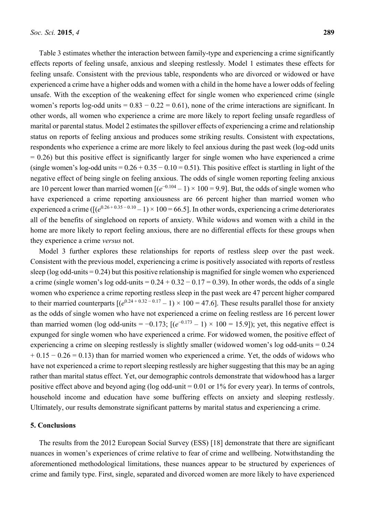Table 3 estimates whether the interaction between family-type and experiencing a crime significantly effects reports of feeling unsafe, anxious and sleeping restlessly. Model 1 estimates these effects for feeling unsafe. Consistent with the previous table, respondents who are divorced or widowed or have experienced a crime have a higher odds and women with a child in the home have a lower odds of feeling unsafe. With the exception of the weakening effect for single women who experienced crime (single women's reports log-odd units =  $0.83 - 0.22 = 0.61$ ), none of the crime interactions are significant. In other words, all women who experience a crime are more likely to report feeling unsafe regardless of marital or parental status. Model 2 estimates the spillover effects of experiencing a crime and relationship status on reports of feeling anxious and produces some striking results. Consistent with expectations, respondents who experience a crime are more likely to feel anxious during the past week (log-odd units  $= 0.26$ ) but this positive effect is significantly larger for single women who have experienced a crime (single women's log-odd units =  $0.26 + 0.35 - 0.10 = 0.51$ ). This positive effect is startling in light of the negative effect of being single on feeling anxious. The odds of single women reporting feeling anxious are 10 percent lower than married women  $[(e^{-0.104} - 1) \times 100 = 9.9]$ . But, the odds of single women who have experienced a crime reporting anxiousness are 66 percent higher than married women who experienced a crime ( $[(e^{0.26 + 0.35 - 0.10} - 1) \times 100 = 66.5]$ ). In other words, experiencing a crime deteriorates all of the benefits of singlehood on reports of anxiety. While widows and women with a child in the home are more likely to report feeling anxious, there are no differential effects for these groups when they experience a crime *versus* not.

Model 3 further explores these relationships for reports of restless sleep over the past week. Consistent with the previous model, experiencing a crime is positively associated with reports of restless sleep (log odd-units = 0.24) but this positive relationship is magnified for single women who experienced a crime (single women's log odd-units =  $0.24 + 0.32 - 0.17 = 0.39$ ). In other words, the odds of a single women who experience a crime reporting restless sleep in the past week are 47 percent higher compared to their married counterparts  $[(e^{0.24 + 0.32 - 0.17} - 1) \times 100 = 47.6]$ . These results parallel those for anxiety as the odds of single women who have not experienced a crime on feeling restless are 16 percent lower than married women (log odd-units =  $-0.173$ ;  $[(e^{-0.173} - 1) \times 100 = 15.9]$ ); yet, this negative effect is expunged for single women who have experienced a crime. For widowed women, the positive effect of experiencing a crime on sleeping restlessly is slightly smaller (widowed women's log odd-units = 0.24  $+ 0.15 - 0.26 = 0.13$ ) than for married women who experienced a crime. Yet, the odds of widows who have not experienced a crime to report sleeping restlessly are higher suggesting that this may be an aging rather than marital status effect. Yet, our demographic controls demonstrate that widowhood has a larger positive effect above and beyond aging (log odd-unit  $= 0.01$  or 1% for every year). In terms of controls, household income and education have some buffering effects on anxiety and sleeping restlessly. Ultimately, our results demonstrate significant patterns by marital status and experiencing a crime.

# **5. Conclusions**

The results from the 2012 European Social Survey (ESS) [18] demonstrate that there are significant nuances in women's experiences of crime relative to fear of crime and wellbeing. Notwithstanding the aforementioned methodological limitations, these nuances appear to be structured by experiences of crime and family type. First, single, separated and divorced women are more likely to have experienced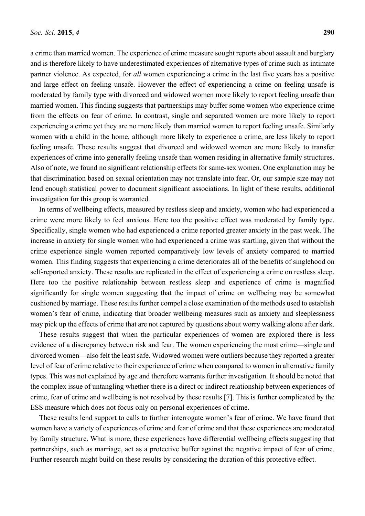a crime than married women. The experience of crime measure sought reports about assault and burglary and is therefore likely to have underestimated experiences of alternative types of crime such as intimate partner violence. As expected, for *all* women experiencing a crime in the last five years has a positive and large effect on feeling unsafe. However the effect of experiencing a crime on feeling unsafe is moderated by family type with divorced and widowed women more likely to report feeling unsafe than married women. This finding suggests that partnerships may buffer some women who experience crime from the effects on fear of crime. In contrast, single and separated women are more likely to report experiencing a crime yet they are no more likely than married women to report feeling unsafe. Similarly women with a child in the home, although more likely to experience a crime, are less likely to report feeling unsafe. These results suggest that divorced and widowed women are more likely to transfer experiences of crime into generally feeling unsafe than women residing in alternative family structures. Also of note, we found no significant relationship effects for same-sex women. One explanation may be that discrimination based on sexual orientation may not translate into fear. Or, our sample size may not lend enough statistical power to document significant associations. In light of these results, additional investigation for this group is warranted.

In terms of wellbeing effects, measured by restless sleep and anxiety, women who had experienced a crime were more likely to feel anxious. Here too the positive effect was moderated by family type. Specifically, single women who had experienced a crime reported greater anxiety in the past week. The increase in anxiety for single women who had experienced a crime was startling, given that without the crime experience single women reported comparatively low levels of anxiety compared to married women. This finding suggests that experiencing a crime deteriorates all of the benefits of singlehood on self-reported anxiety. These results are replicated in the effect of experiencing a crime on restless sleep. Here too the positive relationship between restless sleep and experience of crime is magnified significantly for single women suggesting that the impact of crime on wellbeing may be somewhat cushioned by marriage. These results further compel a close examination of the methods used to establish women's fear of crime, indicating that broader wellbeing measures such as anxiety and sleeplessness may pick up the effects of crime that are not captured by questions about worry walking alone after dark.

These results suggest that when the particular experiences of women are explored there is less evidence of a discrepancy between risk and fear. The women experiencing the most crime—single and divorced women—also felt the least safe. Widowed women were outliers because they reported a greater level of fear of crime relative to their experience of crime when compared to women in alternative family types. This was not explained by age and therefore warrants further investigation. It should be noted that the complex issue of untangling whether there is a direct or indirect relationship between experiences of crime, fear of crime and wellbeing is not resolved by these results [7]. This is further complicated by the ESS measure which does not focus only on personal experiences of crime.

These results lend support to calls to further interrogate women's fear of crime. We have found that women have a variety of experiences of crime and fear of crime and that these experiences are moderated by family structure. What is more, these experiences have differential wellbeing effects suggesting that partnerships, such as marriage, act as a protective buffer against the negative impact of fear of crime. Further research might build on these results by considering the duration of this protective effect.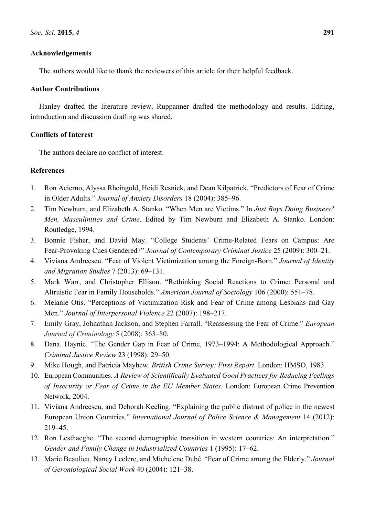# **Acknowledgements**

The authors would like to thank the reviewers of this article for their helpful feedback.

# **Author Contributions**

Hanley drafted the literature review, Ruppanner drafted the methodology and results. Editing, introduction and discussion drafting was shared.

# **Conflicts of Interest**

The authors declare no conflict of interest.

# **References**

- 1. Ron Acierno, Alyssa Rheingold, Heidi Resnick, and Dean Kilpatrick. "Predictors of Fear of Crime in Older Adults." *Journal of Anxiety Disorders* 18 (2004): 385–96.
- 2. Tim Newburn, and Elizabeth A. Stanko. "When Men are Victims." In *Just Boys Doing Business? Men, Masculinities and Crime*. Edited by Tim Newburn and Elizabeth A. Stanko. London: Routledge, 1994.
- 3. Bonnie Fisher, and David May. "College Students' Crime-Related Fears on Campus: Are Fear-Provoking Cues Gendered?" *Journal of Contemporary Criminal Justice* 25 (2009): 300–21.
- 4. Viviana Andreescu. "Fear of Violent Victimization among the Foreign-Born." *Journal of Identity and Migration Studies* 7 (2013): 69–131.
- 5. Mark Warr, and Christopher Ellison. "Rethinking Social Reactions to Crime: Personal and Altruistic Fear in Family Households." *American Journal of Sociology* 106 (2000): 551–78.
- 6. Melanie Otis. "Perceptions of Victimization Risk and Fear of Crime among Lesbians and Gay Men." *Journal of Interpersonal Violence* 22 (2007): 198–217.
- 7. Emily Gray, Johnathan Jackson, and Stephen Farrall. "Reassessing the Fear of Crime." *European Journal of Criminology* 5 (2008): 363–80.
- 8. Dana. Haynie. "The Gender Gap in Fear of Crime, 1973–1994: A Methodological Approach." *Criminal Justice Review* 23 (1998): 29–50.
- 9. Mike Hough, and Patricia Mayhew. *British Crime Survey: First Report*. London: HMSO, 1983.
- 10. European Communities. *A Review of Scientifically Evaluated Good Practices for Reducing Feelings of Insecurity or Fear of Crime in the EU Member States*. London: European Crime Prevention Network, 2004.
- 11. Viviana Andreescu, and Deborah Keeling. "Explaining the public distrust of police in the newest European Union Countries." *International Journal of Police Science & Management* 14 (2012): 219–45.
- 12. Ron Lesthaeghe. "The second demographic transition in western countries: An interpretation." *Gender and Family Change in Industrialized Countries* 1 (1995): 17–62.
- 13. Marie Beaulieu, Nancy Leclerc, and Michelene Dubé. "Fear of Crime among the Elderly." *Journal of Gerontological Social Work* 40 (2004): 121–38.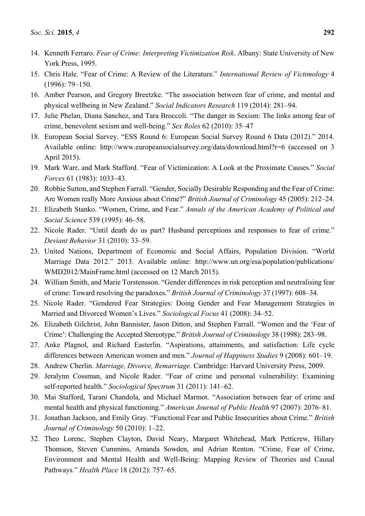- 14. Kenneth Ferraro. *Fear of Crime: Interpreting Victimization Risk*. Albany: State University of New York Press, 1995.
- 15. Chris Hale. "Fear of Crime: A Review of the Literature." *International Review of Victimology* 4 (1996): 79–150.
- 16. Amber Pearson, and Gregory Breetzke. "The association between fear of crime, and mental and physical wellbeing in New Zealand." *Social Indicators Research* 119 (2014): 281–94.
- 17. Julie Phelan, Diana Sanchez, and Tara Broccoli. "The danger in Sexism: The links among fear of crime, benevolent sexism and well-being." *Sex Roles* 62 (2010): 35–47
- 18. European Social Survey. "ESS Round 6: European Social Survey Round 6 Data (2012)." 2014. Available online: http://www.europeansocialsurvey.org/data/download.html?r=6 (accessed on 3 April 2015).
- 19. Mark Warr, and Mark Stafford. "Fear of Victimization: A Look at the Proximate Causes." *Social Forces* 61 (1983): 1033–43.
- 20. Robbie Sutton, and Stephen Farrall. "Gender, Socially Desirable Responding and the Fear of Crime: Are Women really More Anxious about Crime?" *British Journal of Criminology* 45 (2005): 212–24.
- 21. Elizabeth Stanko. "Women, Crime, and Fear." *Annals of the American Academy of Political and Social Science* 539 (1995): 46–58.
- 22. Nicole Rader. "Until death do us part? Husband perceptions and responses to fear of crime." *Deviant Behavior* 31 (2010): 33–59.
- 23. United Nations, Department of Economic and Social Affairs, Population Division. "World Marriage Data 2012." 2013. Available online: http://www.un.org/esa/population/publications/ WMD2012/MainFrame.html (accessed on 12 March 2015).
- 24. William Smith, and Marie Torstensson. "Gender differences in risk perception and neutralising fear of crime: Toward resolving the paradoxes." *British Journal of Criminology* 37 (1997): 608–34.
- 25. Nicole Rader. "Gendered Fear Strategies: Doing Gender and Fear Management Strategies in Married and Divorced Women's Lives." *Sociological Focus* 41 (2008): 34–52.
- 26. Elizabeth Gilchrist, John Bannister, Jason Ditton, and Stephen Farrall. "Women and the 'Fear of Crime': Challenging the Accepted Stereotype." *British Journal of Criminology* 38 (1998): 283–98.
- 27. Anke Plagnol, and Richard Easterlin. "Aspirations, attainments, and satisfaction: Life cycle differences between American women and men." *Journal of Happiness Studies* 9 (2008): 601–19.
- 28. Andrew Cherlin. *Marriage, Divorce, Remarriage*. Cambridge: Harvard University Press, 2009.
- 29. Jeralynn Cossman, and Nicole Rader. "Fear of crime and personal vulnerability: Examining self-reported health." *Sociological Spectrum* 31 (2011): 141–62.
- 30. Mai Stafford, Tarani Chandola, and Michael Marmot. "Association between fear of crime and mental health and physical functioning." *American Journal of Public Health* 97 (2007): 2076–81.
- 31. Jonathan Jackson, and Emily Gray. "Functional Fear and Public Insecurities about Crime." *British Journal of Criminology* 50 (2010): 1–22.
- 32. Theo Lorenc, Stephen Clayton, David Neary, Margaret Whitehead, Mark Petticrew, Hillary Thomson, Steven Cummins, Amanda Sowden, and Adrian Renton. "Crime, Fear of Crime, Environment and Mental Health and Well-Being: Mapping Review of Theories and Causal Pathways." *Health Place* 18 (2012): 757–65.